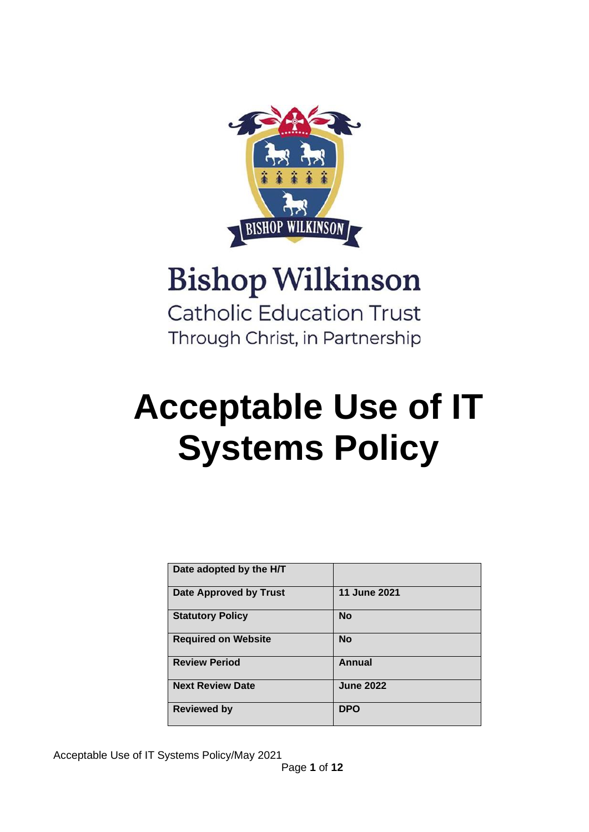

# **Bishop Wilkinson Catholic Education Trust** Through Christ, in Partnership

# **Acceptable Use of IT Systems Policy**

| Date adopted by the H/T    |                  |
|----------------------------|------------------|
| Date Approved by Trust     | 11 June 2021     |
| <b>Statutory Policy</b>    | <b>No</b>        |
| <b>Required on Website</b> | <b>No</b>        |
| <b>Review Period</b>       | <b>Annual</b>    |
| <b>Next Review Date</b>    | <b>June 2022</b> |
| <b>Reviewed by</b>         | <b>DPO</b>       |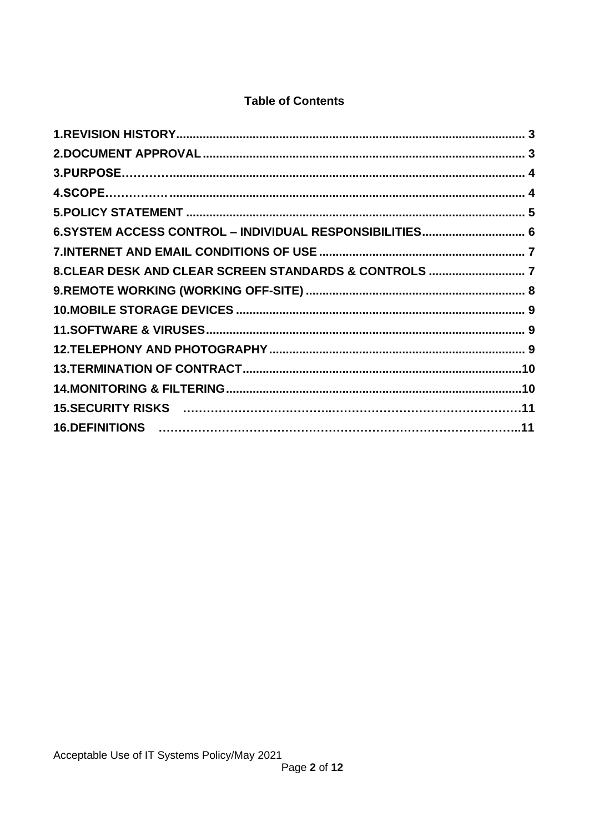# **Table of Contents**

| 6.SYSTEM ACCESS CONTROL - INDIVIDUAL RESPONSIBILITIES 6 |  |
|---------------------------------------------------------|--|
|                                                         |  |
| 8. CLEAR DESK AND CLEAR SCREEN STANDARDS & CONTROLS  7  |  |
|                                                         |  |
|                                                         |  |
|                                                         |  |
|                                                         |  |
|                                                         |  |
|                                                         |  |
|                                                         |  |
|                                                         |  |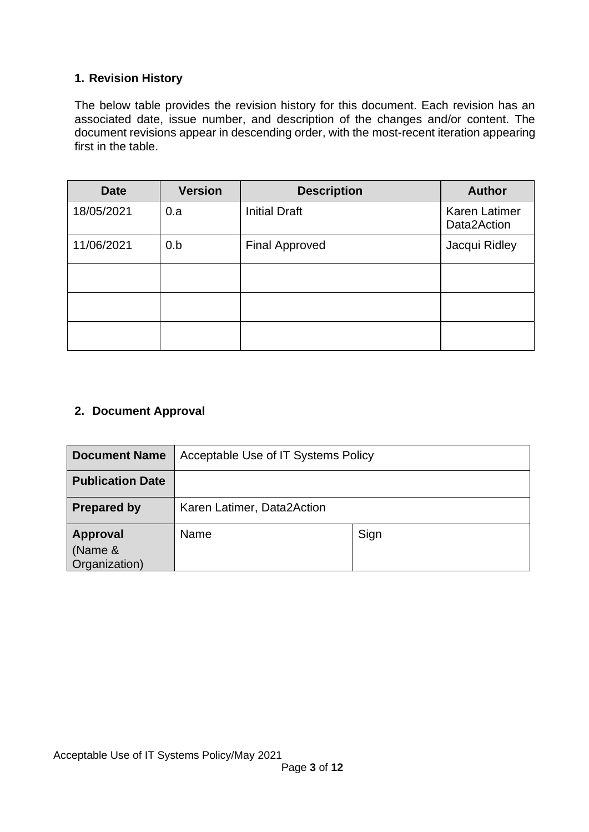# <span id="page-2-0"></span>**1. Revision History**

The below table provides the revision history for this document. Each revision has an associated date, issue number, and description of the changes and/or content. The document revisions appear in descending order, with the most-recent iteration appearing first in the table.

| <b>Date</b> | <b>Version</b> | <b>Description</b>    | <b>Author</b>                       |
|-------------|----------------|-----------------------|-------------------------------------|
| 18/05/2021  | 0.a            | <b>Initial Draft</b>  | <b>Karen Latimer</b><br>Data2Action |
| 11/06/2021  | 0.b            | <b>Final Approved</b> | Jacqui Ridley                       |
|             |                |                       |                                     |
|             |                |                       |                                     |
|             |                |                       |                                     |

## <span id="page-2-1"></span>**2. Document Approval**

| <b>Document Name</b>                        | Acceptable Use of IT Systems Policy |      |  |
|---------------------------------------------|-------------------------------------|------|--|
| <b>Publication Date</b>                     |                                     |      |  |
| <b>Prepared by</b>                          | Karen Latimer, Data2Action          |      |  |
| <b>Approval</b><br>(Name &<br>Organization) | Name                                | Sign |  |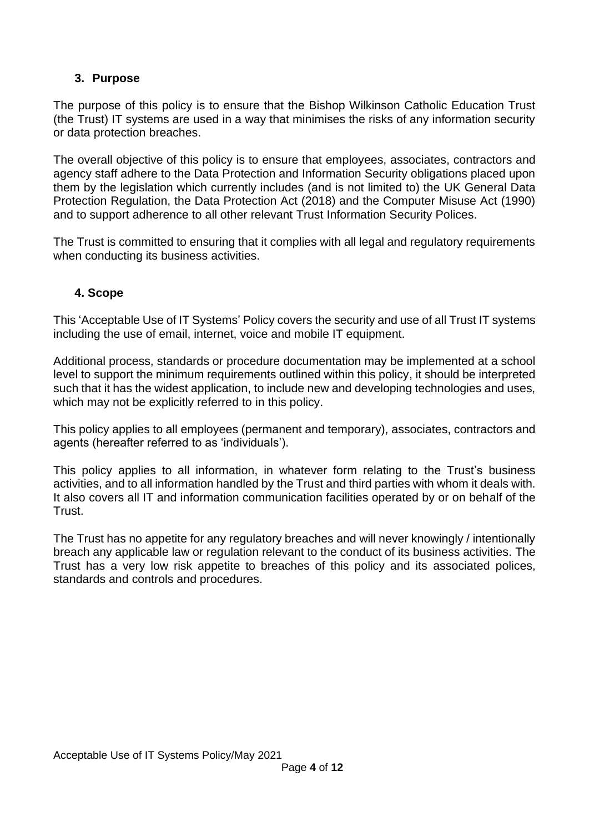# <span id="page-3-0"></span>**3. Purpose**

The purpose of this policy is to ensure that the Bishop Wilkinson Catholic Education Trust (the Trust) IT systems are used in a way that minimises the risks of any information security or data protection breaches.

The overall objective of this policy is to ensure that employees, associates, contractors and agency staff adhere to the Data Protection and Information Security obligations placed upon them by the legislation which currently includes (and is not limited to) the UK General Data Protection Regulation, the Data Protection Act (2018) and the Computer Misuse Act (1990) and to support adherence to all other relevant Trust Information Security Polices.

<span id="page-3-1"></span>The Trust is committed to ensuring that it complies with all legal and regulatory requirements when conducting its business activities.

## **4. Scope**

This 'Acceptable Use of IT Systems' Policy covers the security and use of all Trust IT systems including the use of email, internet, voice and mobile IT equipment.

Additional process, standards or procedure documentation may be implemented at a school level to support the minimum requirements outlined within this policy, it should be interpreted such that it has the widest application, to include new and developing technologies and uses, which may not be explicitly referred to in this policy.

This policy applies to all employees (permanent and temporary), associates, contractors and agents (hereafter referred to as 'individuals').

This policy applies to all information, in whatever form relating to the Trust's business activities, and to all information handled by the Trust and third parties with whom it deals with. It also covers all IT and information communication facilities operated by or on behalf of the **Trust** 

The Trust has no appetite for any regulatory breaches and will never knowingly / intentionally breach any applicable law or regulation relevant to the conduct of its business activities. The Trust has a very low risk appetite to breaches of this policy and its associated polices, standards and controls and procedures.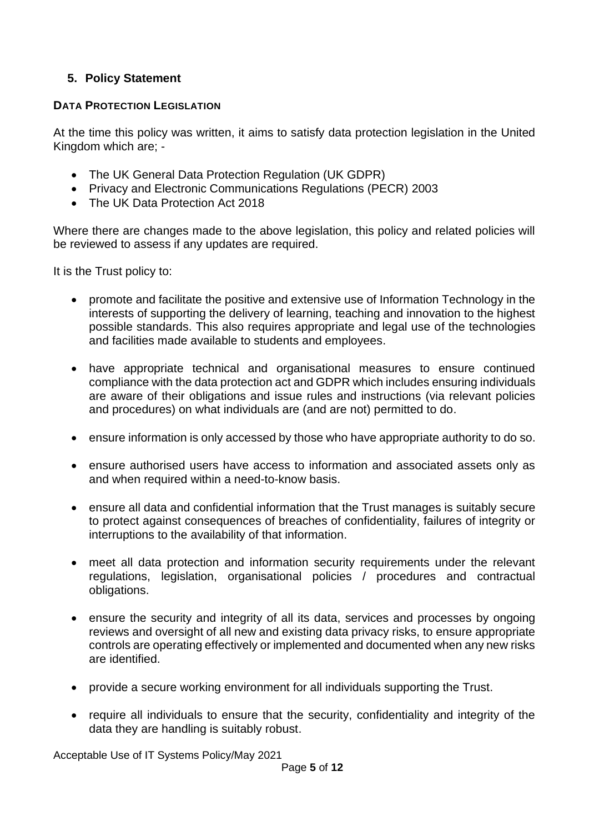# <span id="page-4-0"></span>**5. Policy Statement**

#### **DATA PROTECTION LEGISLATION**

At the time this policy was written, it aims to satisfy data protection legislation in the United Kingdom which are; -

- The UK General Data Protection Regulation (UK GDPR)
- Privacy and Electronic Communications Regulations (PECR) 2003
- The UK Data Protection Act 2018

Where there are changes made to the above legislation, this policy and related policies will be reviewed to assess if any updates are required.

It is the Trust policy to:

- promote and facilitate the positive and extensive use of Information Technology in the interests of supporting the delivery of learning, teaching and innovation to the highest possible standards. This also requires appropriate and legal use of the technologies and facilities made available to students and employees.
- have appropriate technical and organisational measures to ensure continued compliance with the data protection act and GDPR which includes ensuring individuals are aware of their obligations and issue rules and instructions (via relevant policies and procedures) on what individuals are (and are not) permitted to do.
- ensure information is only accessed by those who have appropriate authority to do so.
- ensure authorised users have access to information and associated assets only as and when required within a need-to-know basis.
- ensure all data and confidential information that the Trust manages is suitably secure to protect against consequences of breaches of confidentiality, failures of integrity or interruptions to the availability of that information.
- meet all data protection and information security requirements under the relevant regulations, legislation, organisational policies / procedures and contractual obligations.
- ensure the security and integrity of all its data, services and processes by ongoing reviews and oversight of all new and existing data privacy risks, to ensure appropriate controls are operating effectively or implemented and documented when any new risks are identified.
- provide a secure working environment for all individuals supporting the Trust.
- require all individuals to ensure that the security, confidentiality and integrity of the data they are handling is suitably robust.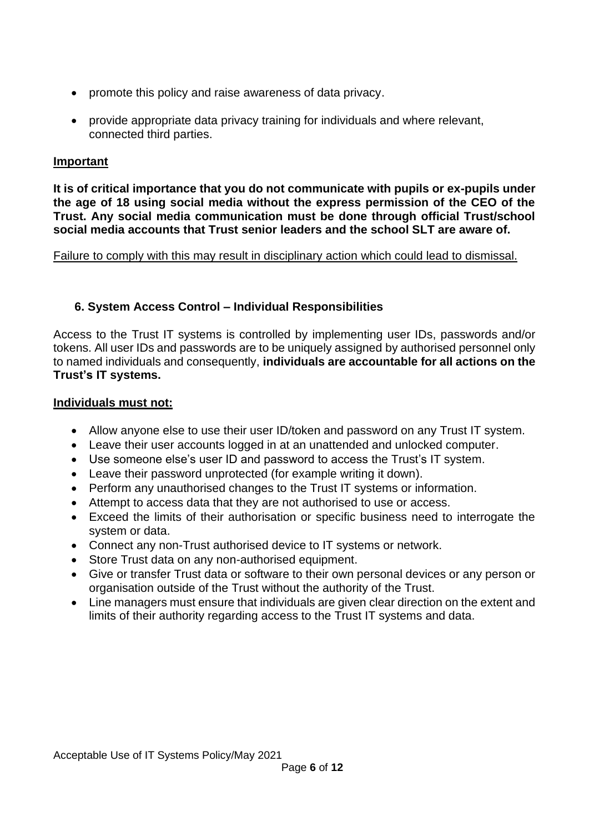- promote this policy and raise awareness of data privacy.
- provide appropriate data privacy training for individuals and where relevant, connected third parties.

#### **Important**

**It is of critical importance that you do not communicate with pupils or ex-pupils under the age of 18 using social media without the express permission of the CEO of the Trust. Any social media communication must be done through official Trust/school social media accounts that Trust senior leaders and the school SLT are aware of.**

#### <span id="page-5-0"></span>Failure to comply with this may result in disciplinary action which could lead to dismissal.

#### **6. System Access Control – Individual Responsibilities**

Access to the Trust IT systems is controlled by implementing user IDs, passwords and/or tokens. All user IDs and passwords are to be uniquely assigned by authorised personnel only to named individuals and consequently, **individuals are accountable for all actions on the Trust's IT systems.**

#### **Individuals must not:**

- Allow anyone else to use their user ID/token and password on any Trust IT system.
- Leave their user accounts logged in at an unattended and unlocked computer.
- Use someone else's user ID and password to access the Trust's IT system.
- Leave their password unprotected (for example writing it down).
- Perform any unauthorised changes to the Trust IT systems or information.
- Attempt to access data that they are not authorised to use or access.
- Exceed the limits of their authorisation or specific business need to interrogate the system or data.
- Connect any non-Trust authorised device to IT systems or network.
- Store Trust data on any non-authorised equipment.
- Give or transfer Trust data or software to their own personal devices or any person or organisation outside of the Trust without the authority of the Trust.
- Line managers must ensure that individuals are given clear direction on the extent and limits of their authority regarding access to the Trust IT systems and data.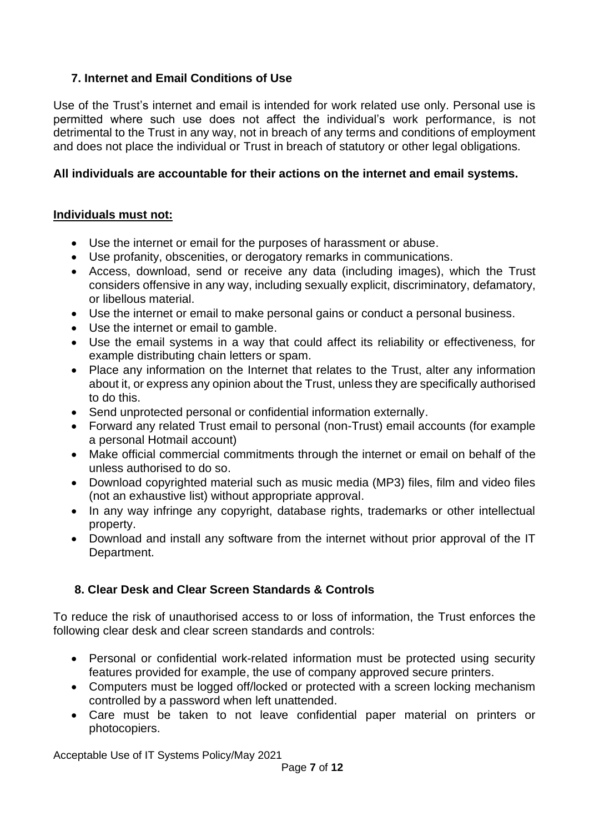# <span id="page-6-0"></span>**7. Internet and Email Conditions of Use**

Use of the Trust's internet and email is intended for work related use only. Personal use is permitted where such use does not affect the individual's work performance, is not detrimental to the Trust in any way, not in breach of any terms and conditions of employment and does not place the individual or Trust in breach of statutory or other legal obligations.

## **All individuals are accountable for their actions on the internet and email systems.**

#### **Individuals must not:**

- Use the internet or email for the purposes of harassment or abuse.
- Use profanity, obscenities, or derogatory remarks in communications.
- Access, download, send or receive any data (including images), which the Trust considers offensive in any way, including sexually explicit, discriminatory, defamatory, or libellous material.
- Use the internet or email to make personal gains or conduct a personal business.
- Use the internet or email to gamble.
- Use the email systems in a way that could affect its reliability or effectiveness, for example distributing chain letters or spam.
- Place any information on the Internet that relates to the Trust, alter any information about it, or express any opinion about the Trust, unless they are specifically authorised to do this.
- Send unprotected personal or confidential information externally.
- Forward any related Trust email to personal (non-Trust) email accounts (for example a personal Hotmail account)
- Make official commercial commitments through the internet or email on behalf of the unless authorised to do so.
- Download copyrighted material such as music media (MP3) files, film and video files (not an exhaustive list) without appropriate approval.
- In any way infringe any copyright, database rights, trademarks or other intellectual property.
- Download and install any software from the internet without prior approval of the IT Department.

# <span id="page-6-1"></span>**8. Clear Desk and Clear Screen Standards & Controls**

To reduce the risk of unauthorised access to or loss of information, the Trust enforces the following clear desk and clear screen standards and controls:

- Personal or confidential work-related information must be protected using security features provided for example, the use of company approved secure printers.
- Computers must be logged off/locked or protected with a screen locking mechanism controlled by a password when left unattended.
- Care must be taken to not leave confidential paper material on printers or photocopiers.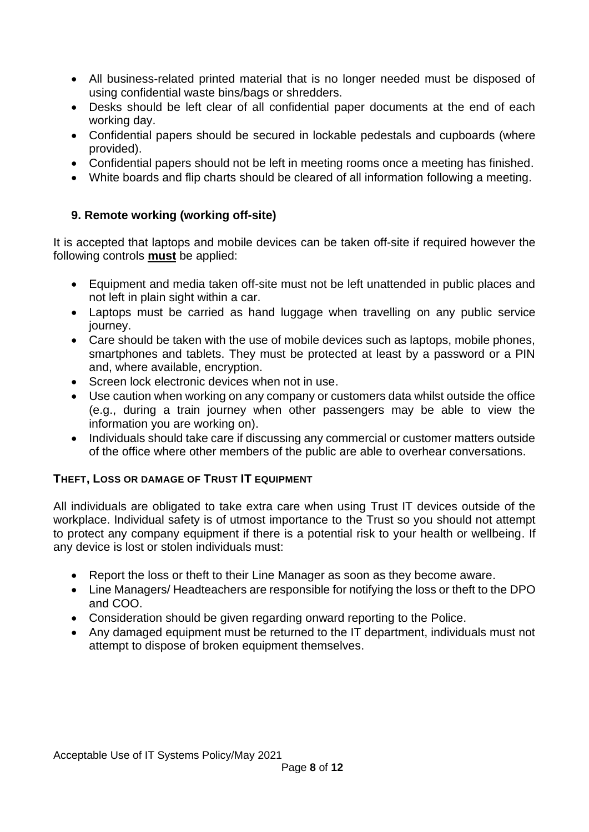- All business-related printed material that is no longer needed must be disposed of using confidential waste bins/bags or shredders.
- Desks should be left clear of all confidential paper documents at the end of each working day.
- Confidential papers should be secured in lockable pedestals and cupboards (where provided).
- Confidential papers should not be left in meeting rooms once a meeting has finished.
- <span id="page-7-0"></span>• White boards and flip charts should be cleared of all information following a meeting.

## **9. Remote working (working off-site)**

It is accepted that laptops and mobile devices can be taken off-site if required however the following controls **must** be applied:

- Equipment and media taken off-site must not be left unattended in public places and not left in plain sight within a car.
- Laptops must be carried as hand luggage when travelling on any public service journey.
- Care should be taken with the use of mobile devices such as laptops, mobile phones, smartphones and tablets. They must be protected at least by a password or a PIN and, where available, encryption.
- Screen lock electronic devices when not in use.
- Use caution when working on any company or customers data whilst outside the office (e.g., during a train journey when other passengers may be able to view the information you are working on).
- Individuals should take care if discussing any commercial or customer matters outside of the office where other members of the public are able to overhear conversations.

#### **THEFT, LOSS OR DAMAGE OF TRUST IT EQUIPMENT**

All individuals are obligated to take extra care when using Trust IT devices outside of the workplace. Individual safety is of utmost importance to the Trust so you should not attempt to protect any company equipment if there is a potential risk to your health or wellbeing. If any device is lost or stolen individuals must:

- Report the loss or theft to their Line Manager as soon as they become aware.
- Line Managers/ Headteachers are responsible for notifying the loss or theft to the DPO and COO.
- Consideration should be given regarding onward reporting to the Police.
- Any damaged equipment must be returned to the IT department, individuals must not attempt to dispose of broken equipment themselves.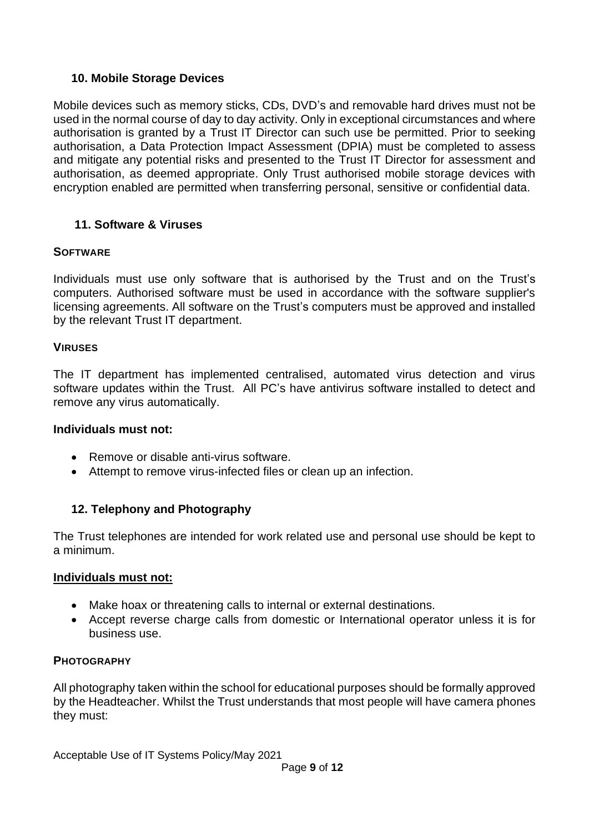#### <span id="page-8-0"></span>**10. Mobile Storage Devices**

Mobile devices such as memory sticks, CDs, DVD's and removable hard drives must not be used in the normal course of day to day activity. Only in exceptional circumstances and where authorisation is granted by a Trust IT Director can such use be permitted. Prior to seeking authorisation, a Data Protection Impact Assessment (DPIA) must be completed to assess and mitigate any potential risks and presented to the Trust IT Director for assessment and authorisation, as deemed appropriate. Only Trust authorised mobile storage devices with encryption enabled are permitted when transferring personal, sensitive or confidential data.

# <span id="page-8-1"></span>**11. Software & Viruses**

#### **SOFTWARE**

Individuals must use only software that is authorised by the Trust and on the Trust's computers. Authorised software must be used in accordance with the software supplier's licensing agreements. All software on the Trust's computers must be approved and installed by the relevant Trust IT department.

#### **VIRUSES**

The IT department has implemented centralised, automated virus detection and virus software updates within the Trust. All PC's have antivirus software installed to detect and remove any virus automatically.

#### **Individuals must not:**

- Remove or disable anti-virus software.
- <span id="page-8-2"></span>• Attempt to remove virus-infected files or clean up an infection.

#### **12. Telephony and Photography**

The Trust telephones are intended for work related use and personal use should be kept to a minimum.

#### **Individuals must not:**

- Make hoax or threatening calls to internal or external destinations.
- Accept reverse charge calls from domestic or International operator unless it is for business use.

#### **PHOTOGRAPHY**

All photography taken within the school for educational purposes should be formally approved by the Headteacher. Whilst the Trust understands that most people will have camera phones they must: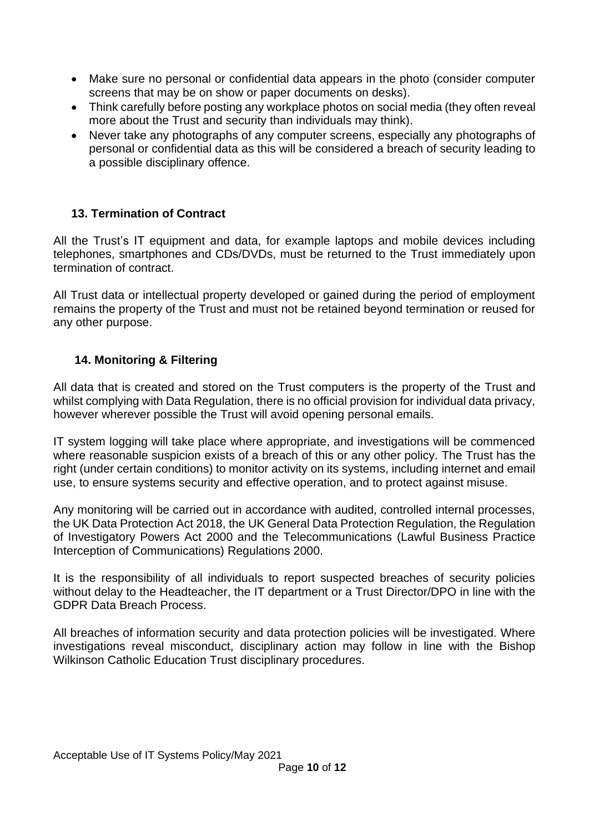- Make sure no personal or confidential data appears in the photo (consider computer screens that may be on show or paper documents on desks).
- Think carefully before posting any workplace photos on social media (they often reveal more about the Trust and security than individuals may think).
- Never take any photographs of any computer screens, especially any photographs of personal or confidential data as this will be considered a breach of security leading to a possible disciplinary offence.

# <span id="page-9-0"></span>**13. Termination of Contract**

All the Trust's IT equipment and data, for example laptops and mobile devices including telephones, smartphones and CDs/DVDs, must be returned to the Trust immediately upon termination of contract.

All Trust data or intellectual property developed or gained during the period of employment remains the property of the Trust and must not be retained beyond termination or reused for any other purpose.

## <span id="page-9-1"></span>**14. Monitoring & Filtering**

All data that is created and stored on the Trust computers is the property of the Trust and whilst complying with Data Regulation, there is no official provision for individual data privacy, however wherever possible the Trust will avoid opening personal emails.

IT system logging will take place where appropriate, and investigations will be commenced where reasonable suspicion exists of a breach of this or any other policy. The Trust has the right (under certain conditions) to monitor activity on its systems, including internet and email use, to ensure systems security and effective operation, and to protect against misuse.

Any monitoring will be carried out in accordance with audited, controlled internal processes, the UK Data Protection Act 2018, the UK General Data Protection Regulation, the Regulation of Investigatory Powers Act 2000 and the Telecommunications (Lawful Business Practice Interception of Communications) Regulations 2000.

It is the responsibility of all individuals to report suspected breaches of security policies without delay to the Headteacher, the IT department or a Trust Director/DPO in line with the GDPR Data Breach Process.

All breaches of information security and data protection policies will be investigated. Where investigations reveal misconduct, disciplinary action may follow in line with the Bishop Wilkinson Catholic Education Trust disciplinary procedures.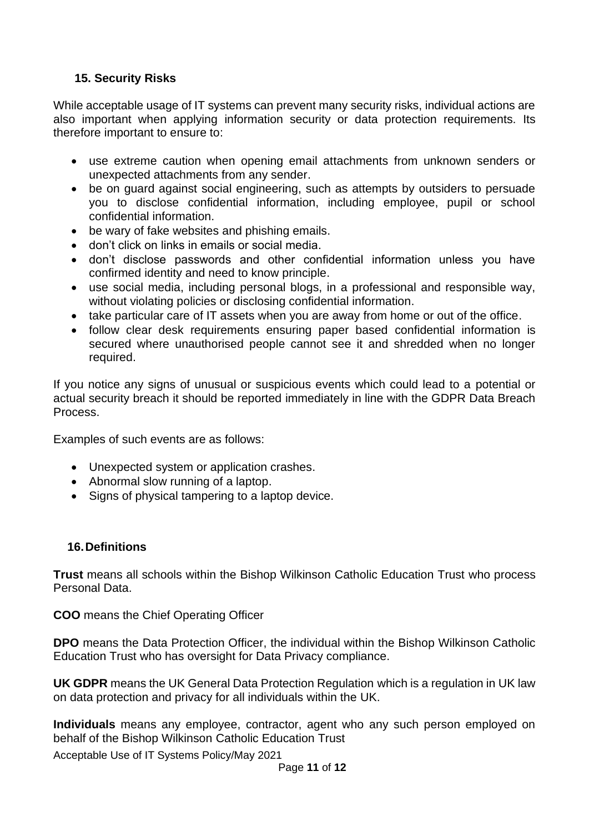# <span id="page-10-0"></span>**15. Security Risks**

While acceptable usage of IT systems can prevent many security risks, individual actions are also important when applying information security or data protection requirements. Its therefore important to ensure to:

- use extreme caution when opening email attachments from unknown senders or unexpected attachments from any sender.
- be on guard against social engineering, such as attempts by outsiders to persuade you to disclose confidential information, including employee, pupil or school confidential information.
- be wary of fake websites and phishing emails.
- don't click on links in emails or social media.
- don't disclose passwords and other confidential information unless you have confirmed identity and need to know principle.
- use social media, including personal blogs, in a professional and responsible way, without violating policies or disclosing confidential information.
- take particular care of IT assets when you are away from home or out of the office.
- follow clear desk requirements ensuring paper based confidential information is secured where unauthorised people cannot see it and shredded when no longer required.

If you notice any signs of unusual or suspicious events which could lead to a potential or actual security breach it should be reported immediately in line with the GDPR Data Breach Process.

Examples of such events are as follows:

- Unexpected system or application crashes.
- Abnormal slow running of a laptop.
- Signs of physical tampering to a laptop device.

#### <span id="page-10-1"></span>**16.Definitions**

**Trust** means all schools within the Bishop Wilkinson Catholic Education Trust who process Personal Data.

**COO** means the Chief Operating Officer

**DPO** means the Data Protection Officer, the individual within the Bishop Wilkinson Catholic Education Trust who has oversight for Data Privacy compliance.

**UK GDPR** means the UK General Data Protection Regulation which is a regulation in UK law on data protection and privacy for all individuals within the UK.

**Individuals** means any employee, contractor, agent who any such person employed on behalf of the Bishop Wilkinson Catholic Education Trust